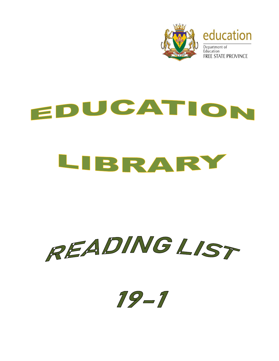

## EDUCATION LIBRARY

## READINGLIST

 $19 - 1$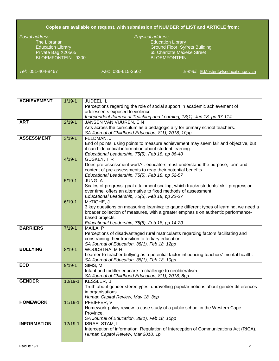## **Copies are available on request, with submission of NUMBER of LIST and ARTICLE from:**

The Librarian Education Library Company and Company Education Library BLOEMFONTEIN 9300

## *Postal address*: *Physical address*:

Education Library Ground Floor, Syfrets Building Private Bag X20565 65 Charlotte Maxeke Street

*Tel*: 051-404-8467 *Fax*: 086-615-2502 *E-mail*: [E.Mostert@fseducation.gov.za](mailto:E.Mostert@fseducation.gov.za)

| <b>ACHIEVEMENT</b> | $1/19 - 1$  | JUDEEL, L                                                                              |
|--------------------|-------------|----------------------------------------------------------------------------------------|
|                    |             | Perceptions regarding the role of social support in academic achievement of            |
|                    |             | adolescents exposed to violence.                                                       |
|                    |             | Independent Journal of Teaching and Learning, 13(1), Jun 18, pp 97-114                 |
| <b>ART</b>         | $2/19-1$    | JANSEN VAN VUUREN, E N                                                                 |
|                    |             | Arts across the curriculum as a pedagogic ally for primary school teachers.            |
|                    |             | SA Journal of Childhood Education, 8(1), 2018, 10pp                                    |
| <b>ASSESSMENT</b>  | $3/19 - 1$  | FELDMAN, J                                                                             |
|                    |             | End of points: using points to measure achievement may seem fair and objective, but    |
|                    |             | it can hide critical information about student learning.                               |
|                    |             | Educational Leadership, 75(5), Feb 18, pp 36-40                                        |
|                    | $4/19-1$    | GUSKEY, TR                                                                             |
|                    |             | Does pre-assessment work? : educators must understand the purpose, form and            |
|                    |             | content of pre-assessments to reap their potential benefits.                           |
|                    |             | Educational Leadership, 75(5), Feb 18, pp 52-57                                        |
|                    | $5/19-1$    | JUNG, A                                                                                |
|                    |             | Scales of progress: goal attainment scaling, which tracks students' skill progression  |
|                    |             | over time, offers an alternative to fixed methods of assessment.                       |
|                    |             | Educational Leadership, 75(5), Feb 18, pp 22-27                                        |
|                    | $6/19-1$    | McTIGHE, J                                                                             |
|                    |             | 3 key questions on measuring learning: to gauge different types of learning, we need a |
|                    |             | broader collection of measures, with a greater emphasis on authentic performance-      |
|                    |             | based projects.                                                                        |
| <b>BARRIERS</b>    | $7/19-1$    | Educational Leadership, 75(5), Feb 18, pp 14-20<br>MAILA, P                            |
|                    |             | Perceptions of disadvantaged rural matriculants regarding factors facilitating and     |
|                    |             | constraining their transition to tertiary education.                                   |
|                    |             | SA Journal of Education, 38(1), Feb 18, 12pp                                           |
| <b>BULLYING</b>    | $8/19 - 1$  | WOUDSTRA, MH                                                                           |
|                    |             | Learner-to-teacher bullying as a potential factor influencing teachers' mental health. |
|                    |             | SA Journal of Education, 38(1), Feb 18, 10pp                                           |
| <b>ECD</b>         | $9/19 - 1$  | SIMS, M                                                                                |
|                    |             | Infant and toddler educare: a challenge to neoliberalism.                              |
|                    |             | SA Journal of Childhood Education, 8(1), 2018, 8pp                                     |
| <b>GENDER</b>      | $10/19 - 1$ | <b>KESSLER, B</b>                                                                      |
|                    |             | Truth about gender stereotypes: unravelling popular notions about gender differences   |
|                    |             | in organisations.                                                                      |
|                    |             | Human Capital Review, May 18, 3pp                                                      |
| <b>HOMEWORK</b>    | $11/19-1$   | PFEIFFER, V                                                                            |
|                    |             | Homework policy review: a case study of a public school in the Western Cape            |
|                    |             | Province.                                                                              |
|                    |             | SA Journal of Education, 38(1), Feb 18, 10pp                                           |
| <b>INFORMATION</b> | $12/19 - 1$ | <b>ISRAELSTAM, I</b>                                                                   |
|                    |             | Interception of information: Regulation of Interception of Communications Act (RICA).  |
|                    |             | Human Capitol Review, Mar 2018, 1p                                                     |
|                    |             |                                                                                        |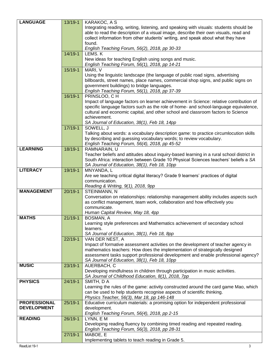| <b>LANGUAGE</b>     | 13/19-1     | KARAKOC, A S                                                                                        |
|---------------------|-------------|-----------------------------------------------------------------------------------------------------|
|                     |             | Integrating reading, writing, listening, and speaking with visuals: students should be              |
|                     |             | able to read the description of a visual image, describe their own visuals, read and                |
|                     |             | collect information from other students' writing, and speak about what they have                    |
|                     |             | found.                                                                                              |
|                     |             | English Teaching Forum, 56(2), 2018, pp 30-33                                                       |
|                     | $14/19 - 1$ | LEMS. K                                                                                             |
|                     |             | New ideas for teaching English using songs and music.                                               |
|                     |             |                                                                                                     |
|                     | $15/19-1$   | English Teaching Forum, 56(1), 2018, pp 14-21                                                       |
|                     |             | MARI, V                                                                                             |
|                     |             | Using the linguistic landscape (the language of public road signs, advertising                      |
|                     |             | billboards, street names, place names, commercial shop signs, and public signs on                   |
|                     |             | government buildings) to bridge languages.                                                          |
|                     |             | English Teaching Forum, 56(1), 2018, pp 37-39                                                       |
|                     | 16/19-1     | PRINSLOO, CH                                                                                        |
|                     |             | Impact of language factors on learner achievement in Science: relative contribution of              |
|                     |             | specific language factors such as the role of home- and school-language equivalence,                |
|                     |             | cultural and economic capital, and other school and classroom factors to Science                    |
|                     |             | achievement.                                                                                        |
|                     |             | SA Journal of Education, 38(1), Feb 18, 14pp                                                        |
|                     | $17/19-1$   | SOWELL, J                                                                                           |
|                     |             | Talking about words: a vocabulary description game: to practice circumlocution skills               |
|                     |             | by describing and guessing vocabulary words; to review vocabulary.                                  |
|                     |             | English Teaching Forum, 56(4), 2018, pp 45-52                                                       |
| <b>LEARNING</b>     | 18/19-1     | RAMNARAIN, U                                                                                        |
|                     |             | Teacher beliefs and attitudes about inquiry-based learning in a rural school district in            |
|                     |             | South Africa: interaction between Grade 10 Physical Sciences teachers' beliefs a SA                 |
|                     |             | SA Journal of Education, 38(1), Feb 18, 10pp                                                        |
| <b>LITERACY</b>     | 19/19-1     | MNYANDA, L                                                                                          |
|                     |             |                                                                                                     |
|                     |             | Are we teaching critical digital literacy? Grade 9 learners' practices of digital<br>communication. |
|                     |             |                                                                                                     |
| <b>MANAGEMENT</b>   |             | Reading & Writing, 9(1), 2018, 9pp                                                                  |
|                     | $20/19 - 1$ | STEINMANN, N                                                                                        |
|                     |             | Conversation on relationships: relationship management ability includes aspects such                |
|                     |             | as conflict management, team work, collaboration and how effectively you                            |
|                     |             | communicate.                                                                                        |
|                     |             | Human Capital Review, May 18, 4pp                                                                   |
| <b>MATHS</b>        | $21/19-1$   | <b>BOSMAN, A</b>                                                                                    |
|                     |             | Learning style preferences and Mathematics achievement of secondary school                          |
|                     |             | learners.                                                                                           |
|                     |             | SA Journal of Education, 38(1), Feb 18, 8pp                                                         |
|                     | $22/19-1$   | VAN DER NEST, A                                                                                     |
|                     |             | Impact of formative assessment activities on the development of teacher agency in                   |
|                     |             | mathematics teachers: How does the implementation of strategically designed                         |
|                     |             | assessment tasks support professional development and enable professional agency?                   |
|                     |             | SA Journal of Education, 38(1), Feb 18, 10pp                                                        |
| <b>MUSIC</b>        | 23/19-1     | AUERBACH, C                                                                                         |
|                     |             | Developing mindfulness in children through participation in music activities.                       |
|                     |             | SA Journal of Childhood Education, 8(1), 2018, 7pp                                                  |
| <b>PHYSICS</b>      | $24/19 - 1$ | SMITH, DA                                                                                           |
|                     |             | Learning the rules of the game: activity constructed around the card game Mao, which                |
|                     |             | can be used to help students recognise aspects of scientific thinking.                              |
|                     |             | Physics Teacher, 56(3), Mar 18, pp 146-148                                                          |
| <b>PROFESSIONAL</b> | $25/19-1$   | Educative curriculum materials: a promising option for independent professional                     |
| <b>DEVELOPMENT</b>  |             | development.                                                                                        |
|                     |             | English Teaching Forum, 56(4), 2018, pp 2-15                                                        |
| <b>READING</b>      | 26/19-1     | LYNN, EM                                                                                            |
|                     |             | Developing reading fluency by combining timed reading and repeated reading.                         |
|                     |             | English Teaching Forum, 56(3), 2018, pp 28-31                                                       |
|                     | $27/19 - 1$ | MABOE, E                                                                                            |
|                     |             | Implementing tablets to teach reading in Grade 5.                                                   |
|                     |             |                                                                                                     |